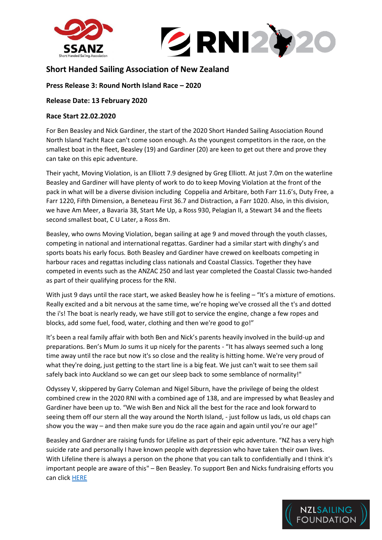



# **Short Handed Sailing Association of New Zealand**

## **Press Release 3: Round North Island Race – 2020**

### **Release Date: 13 February 2020**

#### **Race Start 22.02.2020**

For Ben Beasley and Nick Gardiner, the start of the 2020 Short Handed Sailing Association Round North Island Yacht Race can't come soon enough. As the youngest competitors in the race, on the smallest boat in the fleet, Beasley (19) and Gardiner (20) are keen to get out there and prove they can take on this epic adventure.

Their yacht, Moving Violation, is an Elliott 7.9 designed by Greg Elliott. At just 7.0m on the waterline Beasley and Gardiner will have plenty of work to do to keep Moving Violation at the front of the pack in what will be a diverse division including Coppelia and Arbitare, both Farr 11.6's, Duty Free, a Farr 1220, Fifth Dimension, a Beneteau First 36.7 and Distraction, a Farr 1020. Also, in this division, we have Am Meer, a Bavaria 38, Start Me Up, a Ross 930, Pelagian II, a Stewart 34 and the fleets second smallest boat, C U Later, a Ross 8m.

Beasley, who owns Moving Violation, began sailing at age 9 and moved through the youth classes, competing in national and international regattas. Gardiner had a similar start with dinghy's and sports boats his early focus. Both Beasley and Gardiner have crewed on keelboats competing in harbour races and regattas including class nationals and Coastal Classics. Together they have competed in events such as the ANZAC 250 and last year completed the Coastal Classic two-handed as part of their qualifying process for the RNI.

With just 9 days until the race start, we asked Beasley how he is feeling – "It's a mixture of emotions. Really excited and a bit nervous at the same time, we're hoping we've crossed all the t's and dotted the i's! The boat is nearly ready, we have still got to service the engine, change a few ropes and blocks, add some fuel, food, water, clothing and then we're good to go!"

It's been a real family affair with both Ben and Nick's parents heavily involved in the build-up and preparations. Ben's Mum Jo sums it up nicely for the parents - "It has always seemed such a long time away until the race but now it's so close and the reality is hitting home. We're very proud of what they're doing, just getting to the start line is a big feat. We just can't wait to see them sail safely back into Auckland so we can get our sleep back to some semblance of normality!"

Odyssey V, skippered by Garry Coleman and Nigel Siburn, have the privilege of being the oldest combined crew in the 2020 RNI with a combined age of 138, and are impressed by what Beasley and Gardiner have been up to. "We wish Ben and Nick all the best for the race and look forward to seeing them off our stern all the way around the North Island, - just follow us lads, us old chaps can show you the way – and then make sure you do the race again and again until you're our age!"

Beasley and Gardner are raising funds for Lifeline as part of their epic adventure. "NZ has a very high suicide rate and personally I have known people with depression who have taken their own lives. With Lifeline there is always a person on the phone that you can talk to confidentially and I think it's important people are aware of this" – Ben Beasley. To support Ben and Nicks fundraising efforts you can click [HERE](https://give.everydayhero.com/nz/sailing-for-lifeline-1)